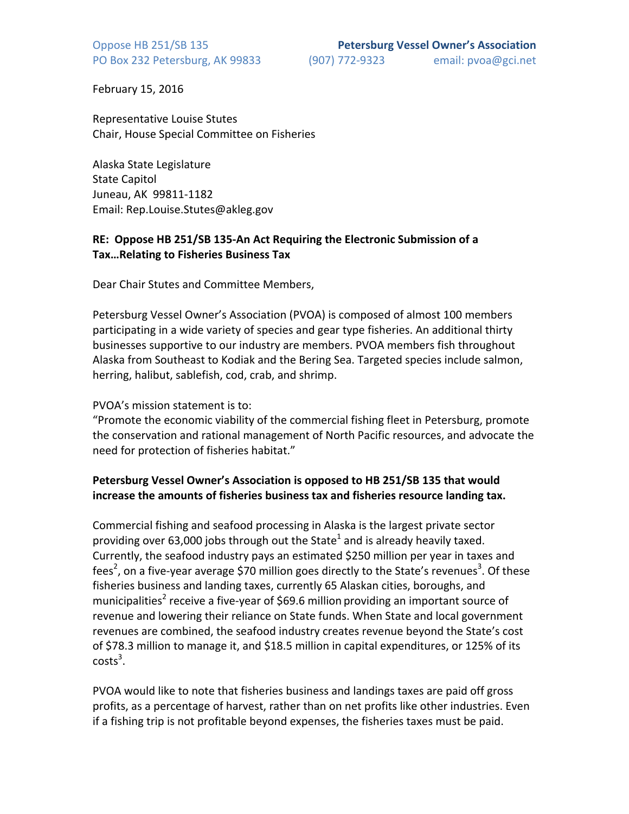February 15, 2016

Representative Louise Stutes Chair, House Special Committee on Fisheries

Alaska State Legislature State Capitol Juneau, AK 99811-1182 Email: Rep.Louise.Stutes@akleg.gov

## **RE: Oppose HB 251/SB 135-An Act Requiring the Electronic Submission of a Tax...Relating to Fisheries Business Tax**

Dear Chair Stutes and Committee Members,

Petersburg Vessel Owner's Association (PVOA) is composed of almost 100 members participating in a wide variety of species and gear type fisheries. An additional thirty businesses supportive to our industry are members. PVOA members fish throughout Alaska from Southeast to Kodiak and the Bering Sea. Targeted species include salmon, herring, halibut, sablefish, cod, crab, and shrimp.

## PVOA's mission statement is to:

"Promote the economic viability of the commercial fishing fleet in Petersburg, promote the conservation and rational management of North Pacific resources, and advocate the need for protection of fisheries habitat."

## Petersburg Vessel Owner's Association is opposed to HB 251/SB 135 that would increase the amounts of fisheries business tax and fisheries resource landing tax.

Commercial fishing and seafood processing in Alaska is the largest private sector providing over 63,000 jobs through out the State<sup>1</sup> and is already heavily taxed. Currently, the seafood industry pays an estimated \$250 million per year in taxes and fees<sup>2</sup>, on a five-year average \$70 million goes directly to the State's revenues<sup>3</sup>. Of these fisheries business and landing taxes, currently 65 Alaskan cities, boroughs, and municipalities<sup>2</sup> receive a five-year of \$69.6 million providing an important source of revenue and lowering their reliance on State funds. When State and local government revenues are combined, the seafood industry creates revenue beyond the State's cost of \$78.3 million to manage it, and \$18.5 million in capital expenditures, or 125% of its  $costs<sup>3</sup>$ .

PVOA would like to note that fisheries business and landings taxes are paid off gross profits, as a percentage of harvest, rather than on net profits like other industries. Even if a fishing trip is not profitable beyond expenses, the fisheries taxes must be paid.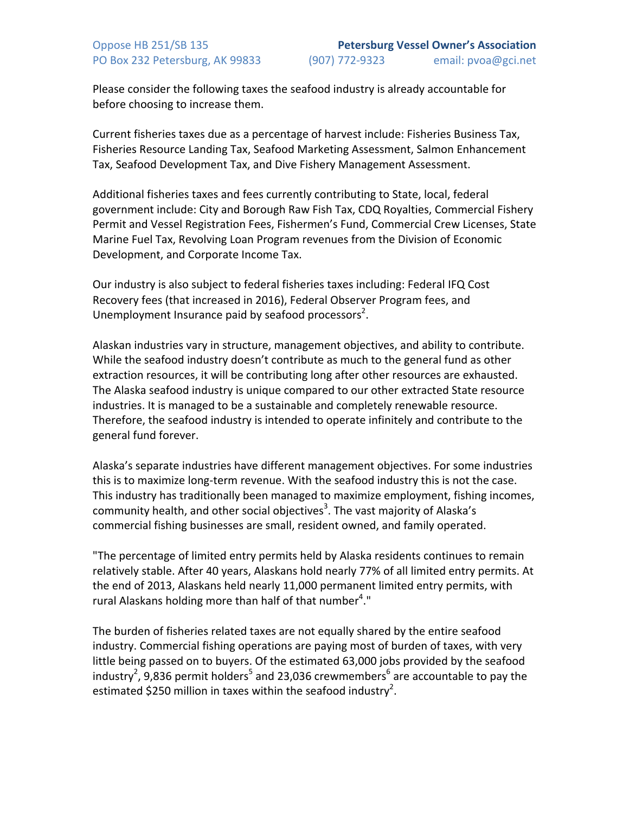Please consider the following taxes the seafood industry is already accountable for before choosing to increase them.

Current fisheries taxes due as a percentage of harvest include: Fisheries Business Tax, Fisheries Resource Landing Tax, Seafood Marketing Assessment, Salmon Enhancement Tax, Seafood Development Tax, and Dive Fishery Management Assessment.

Additional fisheries taxes and fees currently contributing to State, local, federal government include: City and Borough Raw Fish Tax, CDQ Royalties, Commercial Fishery Permit and Vessel Registration Fees, Fishermen's Fund, Commercial Crew Licenses, State Marine Fuel Tax, Revolving Loan Program revenues from the Division of Economic Development, and Corporate Income Tax.

Our industry is also subject to federal fisheries taxes including: Federal IFQ Cost Recovery fees (that increased in 2016), Federal Observer Program fees, and Unemployment Insurance paid by seafood processors<sup>2</sup>.

Alaskan industries vary in structure, management objectives, and ability to contribute. While the seafood industry doesn't contribute as much to the general fund as other extraction resources, it will be contributing long after other resources are exhausted. The Alaska seafood industry is unique compared to our other extracted State resource industries. It is managed to be a sustainable and completely renewable resource. Therefore, the seafood industry is intended to operate infinitely and contribute to the general fund forever.

Alaska's separate industries have different management objectives. For some industries this is to maximize long-term revenue. With the seafood industry this is not the case. This industry has traditionally been managed to maximize employment, fishing incomes, community health, and other social objectives<sup>3</sup>. The vast majority of Alaska's commercial fishing businesses are small, resident owned, and family operated.

"The percentage of limited entry permits held by Alaska residents continues to remain relatively stable. After 40 years, Alaskans hold nearly 77% of all limited entry permits. At the end of 2013, Alaskans held nearly 11,000 permanent limited entry permits, with rural Alaskans holding more than half of that number<sup>4</sup>."

The burden of fisheries related taxes are not equally shared by the entire seafood industry. Commercial fishing operations are paying most of burden of taxes, with very little being passed on to buyers. Of the estimated 63,000 jobs provided by the seafood industry<sup>2</sup>, 9,836 permit holders<sup>5</sup> and 23,036 crewmembers<sup>6</sup> are accountable to pay the estimated \$250 million in taxes within the seafood industry<sup>2</sup>.